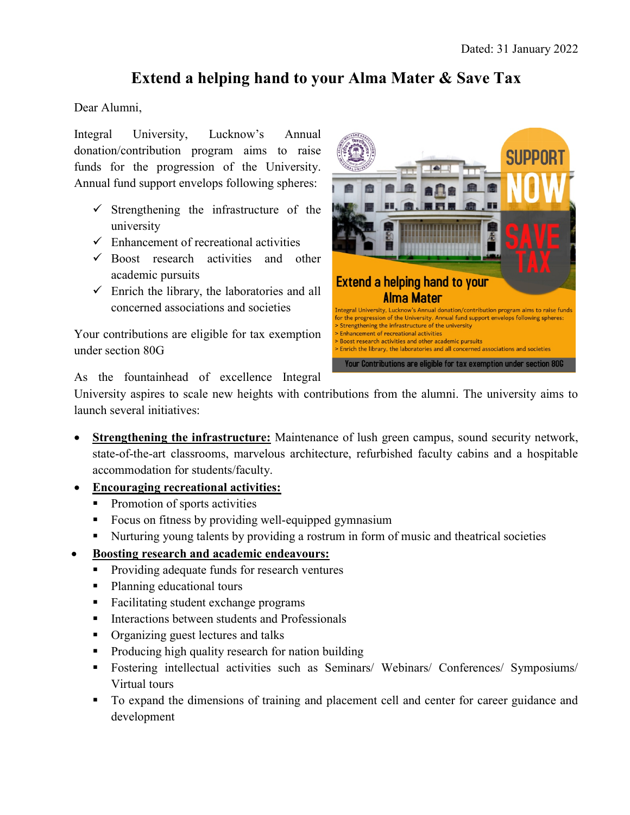## Extend a helping hand to your Alma Mater & Save Tax

Dear Alumni,

Integral University, Lucknow's Annual donation/contribution program aims to raise funds for the progression of the University. Annual fund support envelops following spheres:

- $\checkmark$  Strengthening the infrastructure of the university
- $\checkmark$  Enhancement of recreational activities
- $\checkmark$  Boost research activities and other academic pursuits
- $\checkmark$  Enrich the library, the laboratories and all concerned associations and societies

Your contributions are eligible for tax exemption under section 80G



As the fountainhead of excellence Integral

University aspires to scale new heights with contributions from the alumni. The university aims to launch several initiatives:

- Strengthening the infrastructure: Maintenance of lush green campus, sound security network, state-of-the-art classrooms, marvelous architecture, refurbished faculty cabins and a hospitable accommodation for students/faculty.
- Encouraging recreational activities:
	- **Promotion of sports activities**
	- **Focus on fitness by providing well-equipped gymnasium**
	- Nurturing young talents by providing a rostrum in form of music and theatrical societies
- Boosting research and academic endeavours:
	- **Providing adequate funds for research ventures**
	- Planning educational tours
	- Facilitating student exchange programs
	- **Interactions between students and Professionals**
	- Organizing guest lectures and talks
	- Producing high quality research for nation building
	- Fostering intellectual activities such as Seminars/ Webinars/ Conferences/ Symposiums/ Virtual tours
	- To expand the dimensions of training and placement cell and center for career guidance and development